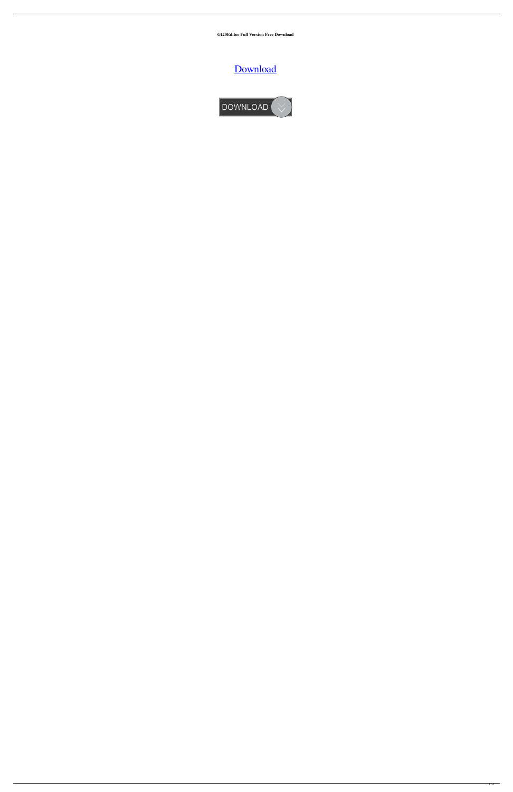**GI20Editor Full Version Free Download**

[Download](http://evacdir.com/bothersome/burch?furnishings=/leveled/R0kyMEVkaXRvcgR0k/ZG93bmxvYWR8b2w3Tm10dVlueDhNVFkxTkRVeU1qRXhNSHg4TWpVM05IeDhLRTBwSUhKbFlXUXRZbXh2WnlCYlJtRnpkQ0JIUlU1ZA/lampoon/lowly/rheumatic)

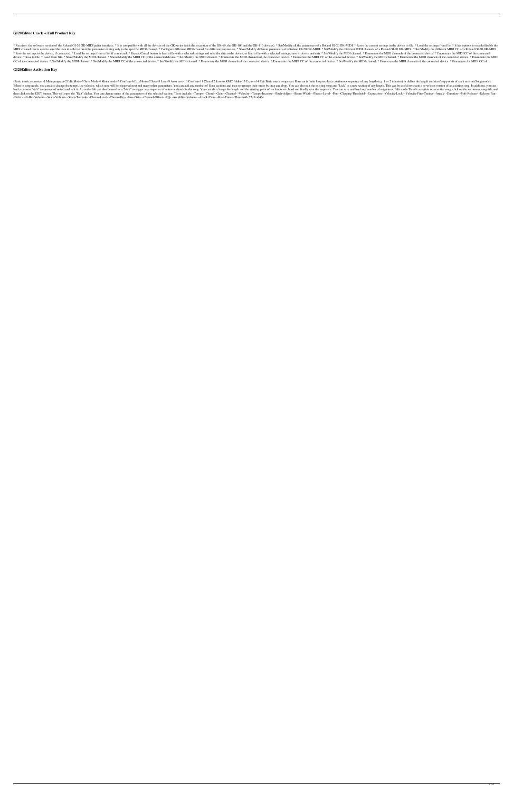# **GI20Editor Crack + Full Product Key**

\* Receiver: the software version of the Roland GI-20 GK-MIDI guitar interface. \* It is compatible with all the devices of the GK-series (with the exception of the GK-100 and the GK-100 and the GK-110 devices). \* Set/Modify MIDI channel that is used to send the data in order to limit the parameter editing only to the specific MIDI channel. \* Configure different MIDI channel for different parameters. \* Show/Modify different parameters of a Rol \* Save the settings to the device, if connected. \* Load the settings from a file, if connected. \* Repeat/Cancel button to load a file with a selected settings and send the data to the device, or load a file with a selected device. \* Save to file. \* Load from file. \* Show/Modify the MIDI channel. \* Show/Modify the MIDI CC of the connected device. \* Set/Modify the MIDI channel. \* Enumerate the MIDI CC of the connected device. \* Enumerate the M CC of the connected device. \* Set/Modify the MIDI channel. \* Set/Modify the MIDI CC of the connected device. \* Set/Modify the MIDI channel. \* Enumerate the MIDI CC of the connected device. \* Enumerate the MIDI CC of the co

-Basic music sequencer-1 Main program-2 Edit Mode-3 Save Mode-4 Menu mode-5 Confirm-6 Exit/Home-7 Save-8 Load-9 Auto save-10 Confirm-11 Clear-12 Save to KMC folder-13 Export-14 Exit Basic music sequencer Enter an infinite When in song mode, you can also change the tempo, the velocity, which note will be triggered next and many other parameters. You can add any number of Song sections and then re-arrange their order by drag and drop. You can load a custom "kick" (sequence of notes) and edit it. An audio file can also be used as a "kick" to trigger any sequence of notes or chords in the song. You can also change the length and the starting point of each note or then click on the EDIT button. This will open the "Edit" dialog. You can change many of the parameters of the selected section. These include: -Tempo--Chord--Gain--Channel--Velocity--Tempo-Increase--Pitch-Adjust--Beam-Widt -Defer- -Hi-Hat-Volume- -Snare-Volume- -Snare-Tremolo- -Chorus-Level- -Chorus-Dry- -Bass-Gain- -Channel-Offset- -EQ- -Amplifier-Volume- -Attack-Time- -Rise-Time- -Threshold- 77a5ca646e

## **GI20Editor Activation Key**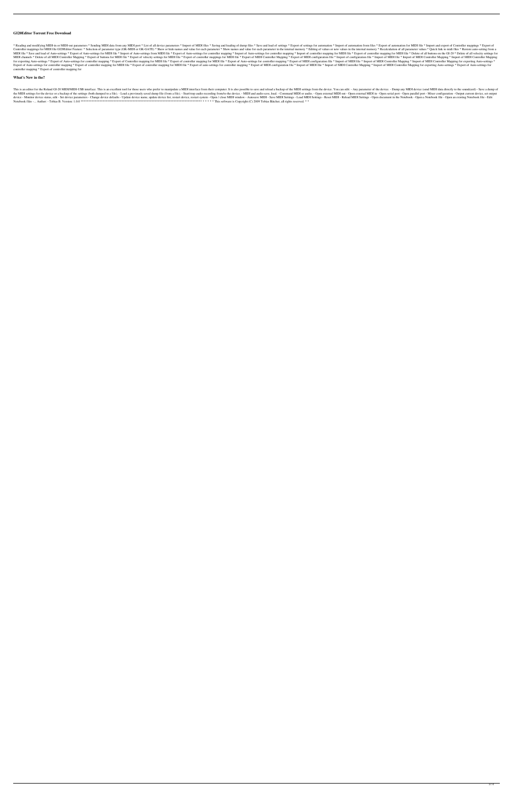## **GI20Editor Torrent Free Download**

\* Reading and modifying MIDI-in or MIDI-out parameters \* Sending MIDI data from any MIDI port \* List of all device parameters \* Import of MIDI files \* Saving and loading of dump files \* Saving and load of settings \* Export Controller mappings for MIDI file GI20Editor Feature: \* Selection of parameter type (GK-MIDI or GK-GATE) \* Show or hide names and value for each parameter \* Show names and value for each parameter in the internal memory \* MIDI file \* Save and load of Auto-settings \* Export of Auto-settings for MIDI file \* Import of Auto-settings from MIDI file \* Export of Auto-settings from MIDI file \* Export of Auto-settings for controller mapping \* Import MIDI channels \* Delete of all MIDI Controller Mapping \* Export of buttons for MIDI file \* Export of velocity settings for MIDI file \* Export of controller mappings for MIDI file \* Export of MIDI Controller Mapping \* Export for exporting Auto-settings \* Export of Auto-settings for controller mapping \* Export of Controller mapping for MIDI file \* Export of controller mapping for MIDI file \* Export of Auto-settings for controller mapping for MI Export of Auto-settings for controller mapping \* Export of controller mapping for MIDI file \* Export of controller mapping for MIDI file \* Export of auto-settings for controller mapping \* Export of MIDI file \* Export of MI controller mapping \* Export of controller mapping for

This is an editor for the Roland GI-20 MIDI/MIDI-USB interface. This is an excellent tool for those users who prefer to manipulate a MIDI interface from their computer. It is also possible to save and reload a backup of th the MIDI settings for the device or a backup of the settings (both dumped to a file). - Load a previously saved dump file (from a file). - Start/stop audio recording from/to the device. - MIDI and audio save, load. - Comma device - Monitor device status, edit - Set device parameters - Change device defaults - Update device affaults - Update device name, update device list, restart device, restart system - Open / close MIDI Settings - Load MI Notebook files -... Author: - Tobias B. Version: 1.0.0 \*\*\*\*\*\*\*\*\*\*\*\*\*\*\*\*\*\*\*\*\*\*\*\*\*\*\*\*\*\*\*\*\*\*\*\*\*\*\*\*\*\*\*\*\*\*\*\*\*\*\*\*\*\*\*\*\*\*\*\*\*\*\*\*\*\*\*\*\*\*\*\*\*\*\*\*\* \* \* \* \* \* This software is Copyright (C) 2009 Tobias Bätcher, all rights reserved. \* \*

## **What's New in the?**